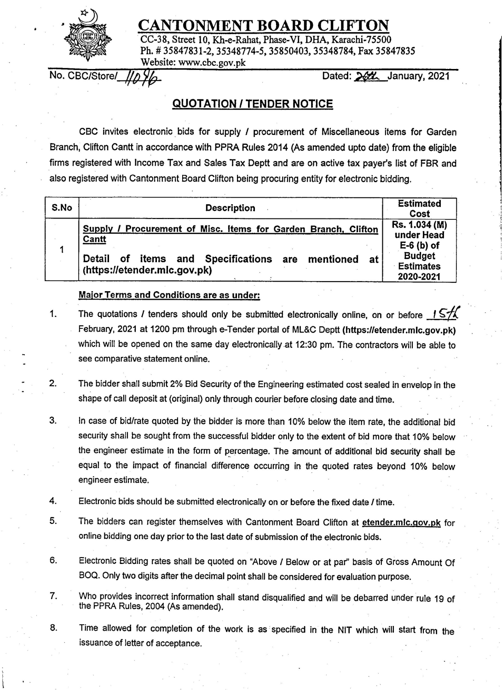

## **CANTONMENT BOARD CLIFTON**

CC-38, Street 10, Kh-e-Rahat, Phase-VI, DHA, Karachi-75500 Ph. # 35847831-2, 35348774-5, 35850403, 35348784, Fax 35847835 Website: www.cbc.gov.pk No. CBC/Store/ JlyE Dae £. January zs?i

## **QUOTATION / TENDER NOTICE**

|      | CBC invites electronic bids for supply / procurement of Miscellaneous items for Garden<br>Branch, Clifton Cantt in accordance with PPRA Rules 2014 (As amended upto date) from the eligible          |                                                |
|------|------------------------------------------------------------------------------------------------------------------------------------------------------------------------------------------------------|------------------------------------------------|
|      | firms registered with Income Tax and Sales Tax Deptt and are on active tax payer's list of FBR and                                                                                                   |                                                |
|      | also registered with Cantonment Board Clifton being procuring entity for electronic bidding.                                                                                                         |                                                |
|      |                                                                                                                                                                                                      |                                                |
| S.No | <b>Description</b>                                                                                                                                                                                   | <b>Estimated</b><br>Cost                       |
|      | Supply / Procurement of Misc. Items for Garden Branch, Clifton<br><b>Cantt</b>                                                                                                                       | Rs. 1.034 (M)<br>under Head<br>$E-6$ (b) of    |
|      | items and Specifications are mentioned at<br>Detail<br>of<br>(https://etender.mlc.gov.pk)                                                                                                            | <b>Budget</b><br><b>Estimates</b><br>2020-2021 |
|      | <b>Major Terms and Conditions are as under:</b>                                                                                                                                                      |                                                |
| 1.   | The quotations I tenders should only be submitted electronically online, on or before $157\lambda$<br>February, 2021 at 1200 pm through e-Tender portal of ML&C Deptt (https://etender.mlc.gov.pk)   |                                                |
|      |                                                                                                                                                                                                      |                                                |
|      | which will be opened on the same day electronically at 12:30 pm. The contractors will be able to                                                                                                     |                                                |
|      | see comparative statement online.                                                                                                                                                                    |                                                |
| 2.   | The bidder shall submit 2% Bid Security of the Engineering estimated cost sealed in envelop in the<br>shape of call deposit at (original) only through courier before closing date and time.         |                                                |
| 3.   | In case of bid/rate quoted by the bidder is more than 10% below the item rate, the additional bid                                                                                                    |                                                |
|      | security shall be sought from the successful bidder only to the extent of bid more that 10% below<br>the engineer estimate in the form of percentage. The amount of additional bid security shall be |                                                |
|      | equal to the impact of financial difference occurring in the quoted rates beyond 10% below<br>engineer estimate.                                                                                     |                                                |
| 4.   | Electronic bids should be submitted electronically on or before the fixed date / time.                                                                                                               |                                                |
| 5.   | The bidders can register themselves with Cantonment Board Clifton at etender.mlc.gov.pk for                                                                                                          |                                                |
|      | online bidding one day prior to the last date of submission of the electronic bids.                                                                                                                  |                                                |
| 6.   | Electronic Bidding rates shall be quoted on "Above / Below or at par" basis of Gross Amount Of                                                                                                       |                                                |
|      | BOQ. Only two digits after the decimal point shall be considered for evaluation purpose.                                                                                                             |                                                |
| 7.   | Who provides incorrect information shall stand disqualified and will be debarred under rule 19 of<br>the PPRA Rules, 2004 (As amended).                                                              |                                                |
| 8.   | Time allowed for completion of the work is as specified in the NIT which will start from the                                                                                                         |                                                |
|      | issuance of letter of acceptance.                                                                                                                                                                    |                                                |
|      |                                                                                                                                                                                                      |                                                |
|      |                                                                                                                                                                                                      |                                                |
|      |                                                                                                                                                                                                      |                                                |

## **Major Terms and Conditions are as under:**

- 1. The quotations *I* tenders should only be submitted electronically online, on or before  $1.5\%$ February, 2021 at 1200 pm through e-Tender portal of ML&C Deptt (https://etender.mlc.gov.pk) which will be opened on the same day electronically at 12:30 pm. The contractors will be able to see comparative statement online.
- 2. The bidder shall submit 2% Bid Security of the Engineering estimated cost sealed in envelop in the shape of call deposit at (original) only through courier before closing date and time.
- 3. In case of bid/rate quoted by the bidder is more than 10% below the item rate, the additional bid security shall be sought from the successful bidder only to the extent of bid more that 10% below the engineer estimate in the form of percentage. The amount of additional bid security shall be equal to the impact of financial difference occurring in the quoted rates beyond 10% below engineer estimate.
- 4. Electronic bids should be submitted electronically on or before the fixed date *I* time.
- 5. The bidders can register themselves with Cantonment Board Clifton at etender.mlc.gov.pk for online bidding one day prior to the last date of submission of the electronic bids.
- 6. Electronic Bidding rates shall be quoted on "Above / Below or at par" basis of Gross Amount Of BOQ. Only two digits after the decimal point shall be considered for evaluation purpose.
- 7. Who provides incorrect information shall stand disqualified and will be debarred under rule 19 of the PPRA Rules, 2004 (As amended